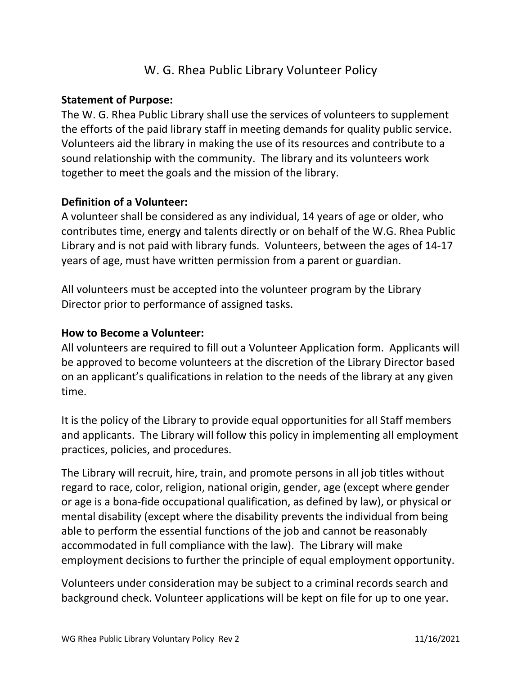# W. G. Rhea Public Library Volunteer Policy

## Statement of Purpose:

The W. G. Rhea Public Library shall use the services of volunteers to supplement the efforts of the paid library staff in meeting demands for quality public service. Volunteers aid the library in making the use of its resources and contribute to a sound relationship with the community. The library and its volunteers work together to meet the goals and the mission of the library.

# Definition of a Volunteer:

A volunteer shall be considered as any individual, 14 years of age or older, who contributes time, energy and talents directly or on behalf of the W.G. Rhea Public Library and is not paid with library funds. Volunteers, between the ages of 14-17 years of age, must have written permission from a parent or guardian.

All volunteers must be accepted into the volunteer program by the Library Director prior to performance of assigned tasks.

## How to Become a Volunteer:

All volunteers are required to fill out a Volunteer Application form. Applicants will be approved to become volunteers at the discretion of the Library Director based on an applicant's qualifications in relation to the needs of the library at any given time.

It is the policy of the Library to provide equal opportunities for all Staff members and applicants. The Library will follow this policy in implementing all employment practices, policies, and procedures.

The Library will recruit, hire, train, and promote persons in all job titles without regard to race, color, religion, national origin, gender, age (except where gender or age is a bona-fide occupational qualification, as defined by law), or physical or mental disability (except where the disability prevents the individual from being able to perform the essential functions of the job and cannot be reasonably accommodated in full compliance with the law). The Library will make employment decisions to further the principle of equal employment opportunity.

Volunteers under consideration may be subject to a criminal records search and background check. Volunteer applications will be kept on file for up to one year.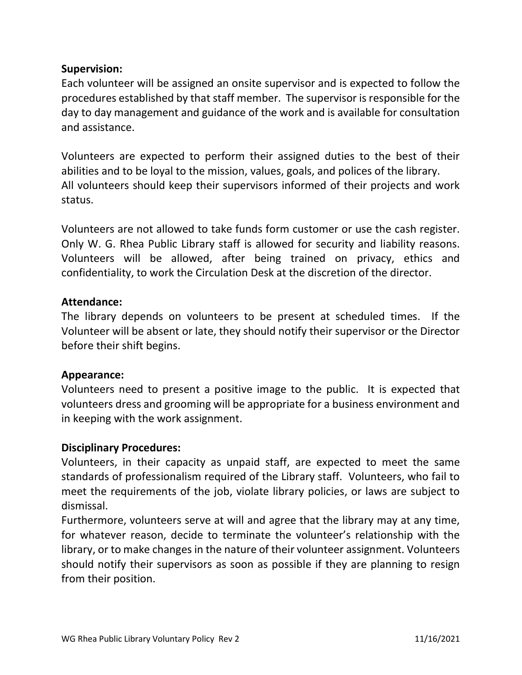# Supervision:

Each volunteer will be assigned an onsite supervisor and is expected to follow the procedures established by that staff member. The supervisor is responsible for the day to day management and guidance of the work and is available for consultation and assistance.

Volunteers are expected to perform their assigned duties to the best of their abilities and to be loyal to the mission, values, goals, and polices of the library. All volunteers should keep their supervisors informed of their projects and work status.

Volunteers are not allowed to take funds form customer or use the cash register. Only W. G. Rhea Public Library staff is allowed for security and liability reasons. Volunteers will be allowed, after being trained on privacy, ethics and confidentiality, to work the Circulation Desk at the discretion of the director.

### Attendance:

The library depends on volunteers to be present at scheduled times. If the Volunteer will be absent or late, they should notify their supervisor or the Director before their shift begins.

### Appearance:

Volunteers need to present a positive image to the public. It is expected that volunteers dress and grooming will be appropriate for a business environment and in keeping with the work assignment.

### Disciplinary Procedures:

Volunteers, in their capacity as unpaid staff, are expected to meet the same standards of professionalism required of the Library staff. Volunteers, who fail to meet the requirements of the job, violate library policies, or laws are subject to dismissal.

Furthermore, volunteers serve at will and agree that the library may at any time, for whatever reason, decide to terminate the volunteer's relationship with the library, or to make changes in the nature of their volunteer assignment. Volunteers should notify their supervisors as soon as possible if they are planning to resign from their position.